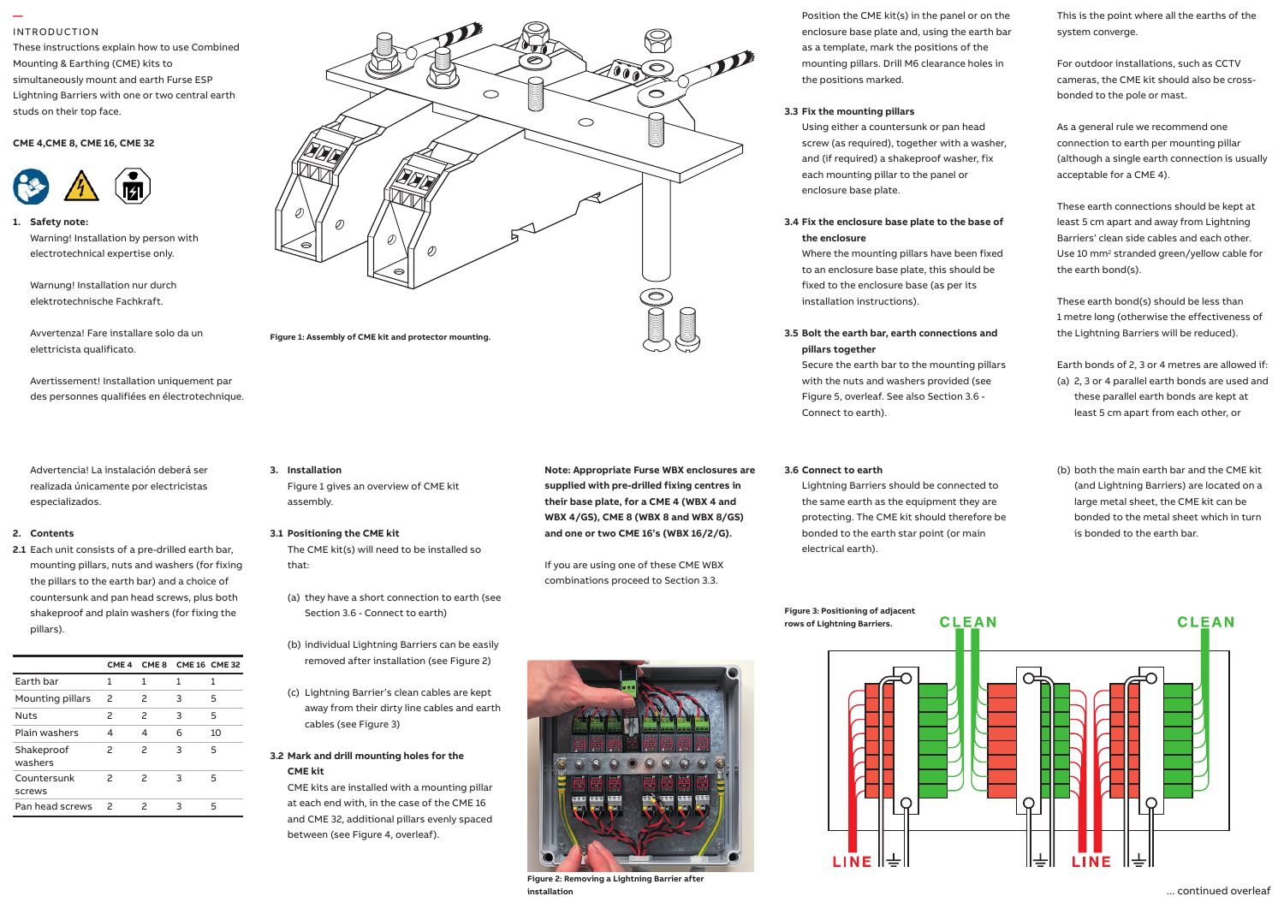### INTRODUCTION

**—** 

These instructions explain how to use Combined Mounting & Earthing (CME) kits to simultaneously mount and earth Furse ESP Lightning Barriers with one or two central earth studs on their top face.

1.4 Connect to phase(s), neutral and earth.

1

## **CME 4,CME 8, CME 16, CME 32**



**1. Safety note:** Safety note: Warning! Installation by person with **Warning!** electrotechnical expertise only. 1.5 Units installed at power distribution - only denote be close to  $\mathbb{C}$ 

Warnung! Installation nur durch elektrotechnische Fachkraft. 1.6 Provide a means of isolation for the

Avvertenza! Fare installare solo da un elettricista qualificato.

Avertissement! Installation uniquement par des personnes qualifiées en électrotechnique.

Advertencia! La instalación deberá ser realizada únicamente por electricistas **como electricistas** especializados.

#### **2. Contents**

**2.1** Each unit consists of a pre-drilled earth bar, The mounting pillars, nuts and washers (for fixing the pillars to the earth bar) and a choice of countersunk and pan head screws, plus both shakeproof and plain washers (for fixing the pillars).

|                       |               |                          | CME 4 CME 8 CME 16 CME 32 |    |
|-----------------------|---------------|--------------------------|---------------------------|----|
| Earth bar             | 1             | 1                        | 1                         | 1  |
| Mounting pillars      | 2             | 2                        | з                         | 5  |
| <b>Nuts</b>           | 2             | $\overline{\phantom{0}}$ | ς                         | 5  |
| Plain washers         | 4             | 4                        | 6                         | 10 |
| Shakeproof<br>washers | 2             | $\mathcal{P}$            | 3                         | 5  |
| Countersunk<br>screws | $\mathcal{P}$ | $\mathcal{P}$            | з                         | 5  |
| Pan head screws       | 2             | ς                        | ٦                         | 5  |



#### **3.1 Positioning the CME kit**

The CME kit(s) will need to be installed so that:

(a) they have a short connection to earth (see Section 3.6 - Connect to earth)

- (b) individual Lightning Barriers can be easily removed after installation (see Figure 2)
- (c) Lightning Barrier's clean cables are kept away from their dirty line cables and earth cables (see Figure 3)

## **3.2 Mark and drill mounting holes for the CME kit**

CME kits are installed with a mounting pillar at each end with, in the case of the CME 16 and CME 32, additional pillars evenly spaced between (see Figure 4, overleaf).



**Note: Appropriate Furse WBX enclosures are supplied with pre-drilled fixing centres in their base plate, for a CME 4 (WBX 4 and WBX 4/GS), CME 8 (WBX 8 and WBX 8/GS) and one or two CME 16's (WBX 16/2/G).**

If you are using one of these CME WBX combinations proceed to Section 3.3.



**Figure 2: Removing a Lightning Barrier after installation**

Position the CME kit(s) in the panel or on the enclosure base plate and, using the earth bar as a template, mark the positions of the mounting pillars. Drill M6 clearance holes in the positions marked.

## **3.3 Fix the mounting pillars**

Using either a countersunk or pan head screw (as required), together with a washer, and (if required) a shakeproof washer, fix each mounting pillar to the panel or enclosure base plate.

## **3.4 Fix the enclosure base plate to the base of the enclosure**

Where the mounting pillars have been fixed to an enclosure base plate, this should be fixed to the enclosure base (as per its installation instructions).

# **3.5 Bolt the earth bar, earth connections and pillars together**

Secure the earth bar to the mounting pillars with the nuts and washers provided (see Figure 5, overleaf. See also Section 3.6 - Connect to earth).

#### **3.6 Connect to earth**

Lightning Barriers should be connected to the same earth as the equipment they are protecting. The CME kit should therefore be bonded to the earth star point (or main electrical earth).

This is the point where all the earths of the system converge.

For outdoor installations, such as CCTV cameras, the CME kit should also be crossbonded to the pole or mast.

As a general rule we recommend one connection to earth per mounting pillar (although a single earth connection is usually acceptable for a CME 4).

These earth connections should be kept at least 5 cm apart and away from Lightning Barriers' clean side cables and each other. Use 10 mm2 stranded green/yellow cable for the earth bond(s).

These earth bond(s) should be less than 1 metre long (otherwise the effectiveness of the Lightning Barriers will be reduced).

Earth bonds of 2, 3 or 4 metres are allowed if: (a) 2, 3 or 4 parallel earth bonds are used and these parallel earth bonds are kept at least 5 cm apart from each other, or

(b) both the main earth bar and the CME kit (and Lightning Barriers) are located on a large metal sheet, the CME kit can be bonded to the metal sheet which in turn is bonded to the earth bar.